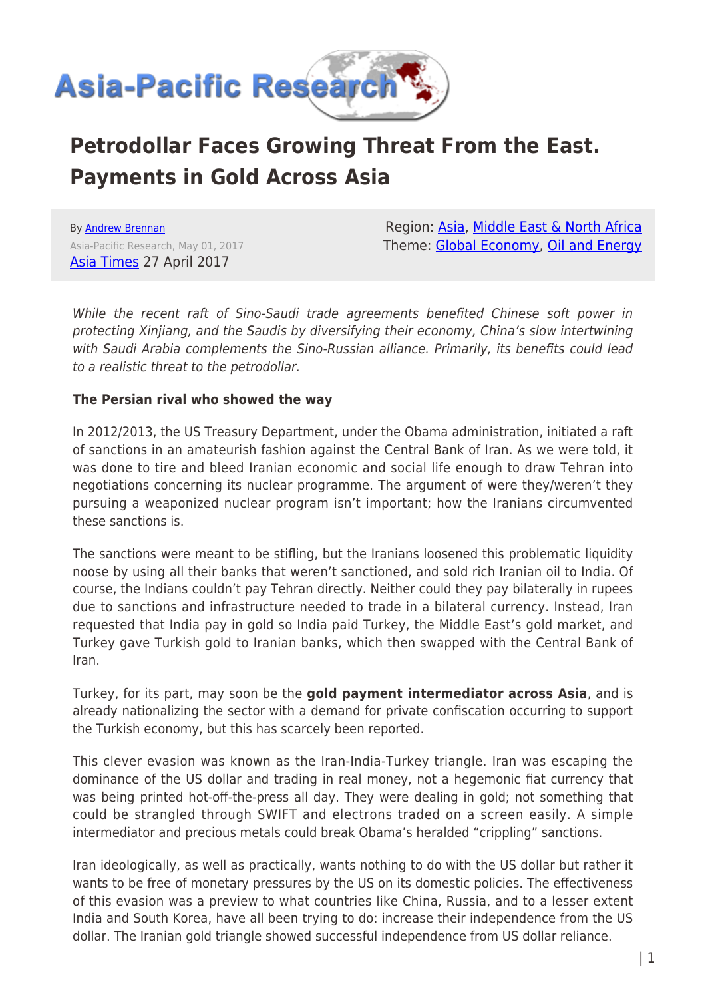

# **Petrodollar Faces Growing Threat From the East. Payments in Gold Across Asia**

By [Andrew Brennan](https://www.asia-pacificresearch.com/author/andrew-brennan) Asia-Pacific Research, May 01, 2017 [Asia Times](http://www.atimes.com/loss-petrodollar-domination-beginning-form/) 27 April 2017

Region: [Asia](https://www.asia-pacificresearch.com/region/asia-as), [Middle East & North Africa](https://www.asia-pacificresearch.com/region/middle-east-as) Theme: [Global Economy](https://www.asia-pacificresearch.com/theme/global-economy-as), [Oil and Energy](https://www.asia-pacificresearch.com/theme/oil-and-energy-as)

While the recent raft of Sino-Saudi trade agreements benefited Chinese soft power in protecting Xinjiang, and the Saudis by diversifying their economy, China's slow intertwining with Saudi Arabia complements the Sino-Russian alliance. Primarily, its benefits could lead to a realistic threat to the petrodollar.

#### **The Persian rival who showed the way**

In 2012/2013, the US Treasury Department, under the Obama administration, initiated a raft of sanctions in an amateurish fashion against the Central Bank of Iran. As we were told, it was done to tire and bleed Iranian economic and social life enough to draw Tehran into negotiations concerning its nuclear programme. The argument of were they/weren't they pursuing a weaponized nuclear program isn't important; how the Iranians circumvented these sanctions is.

The sanctions were meant to be stifling, but the Iranians loosened this problematic liquidity noose by using all their banks that weren't sanctioned, and sold rich Iranian oil to India. Of course, the Indians couldn't pay Tehran directly. Neither could they pay bilaterally in rupees due to sanctions and infrastructure needed to trade in a bilateral currency. Instead, Iran requested that India pay in gold so India paid Turkey, the Middle East's gold market, and Turkey gave Turkish gold to Iranian banks, which then swapped with the Central Bank of Iran.

Turkey, for its part, may soon be the **gold payment intermediator across Asia**, and is already nationalizing the sector with a demand for private confiscation occurring to support the Turkish economy, but this has scarcely been reported.

This clever evasion was known as the Iran-India-Turkey triangle. Iran was escaping the dominance of the US dollar and trading in real money, not a hegemonic fiat currency that was being printed hot-off-the-press all day. They were dealing in gold; not something that could be strangled through SWIFT and electrons traded on a screen easily. A simple intermediator and precious metals could break Obama's heralded "crippling" sanctions.

Iran ideologically, as well as practically, wants nothing to do with the US dollar but rather it wants to be free of monetary pressures by the US on its domestic policies. The effectiveness of this evasion was a preview to what countries like China, Russia, and to a lesser extent India and South Korea, have all been trying to do: increase their independence from the US dollar. The Iranian gold triangle showed successful independence from US dollar reliance.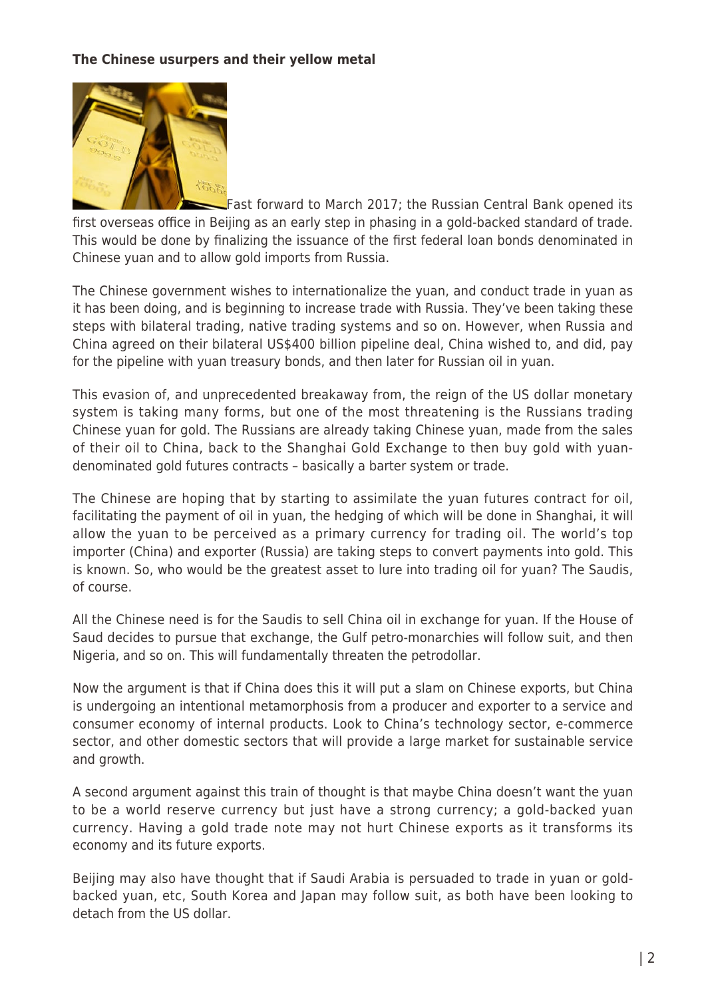### **The Chinese usurpers and their yellow metal**



Fast forward to March 2017; the Russian Central Bank opened its first overseas office in Beijing as an early step in phasing in a gold-backed standard of trade. This would be done by finalizing the issuance of the first federal loan bonds denominated in Chinese yuan and to allow gold imports from Russia.

The Chinese government wishes to internationalize the yuan, and conduct trade in yuan as it has been doing, and is beginning to increase trade with Russia. They've been taking these steps with bilateral trading, native trading systems and so on. However, when Russia and China agreed on their bilateral US\$400 billion pipeline deal, China wished to, and did, pay for the pipeline with yuan treasury bonds, and then later for Russian oil in yuan.

This evasion of, and unprecedented breakaway from, the reign of the US dollar monetary system is taking many forms, but one of the most threatening is the Russians trading Chinese yuan for gold. The Russians are already taking Chinese yuan, made from the sales of their oil to China, back to the Shanghai Gold Exchange to then buy gold with yuandenominated gold futures contracts – basically a barter system or trade.

The Chinese are hoping that by starting to assimilate the yuan futures contract for oil, facilitating the payment of oil in yuan, the hedging of which will be done in Shanghai, it will allow the yuan to be perceived as a primary currency for trading oil. The world's top importer (China) and exporter (Russia) are taking steps to convert payments into gold. This is known. So, who would be the greatest asset to lure into trading oil for yuan? The Saudis, of course.

All the Chinese need is for the Saudis to sell China oil in exchange for yuan. If the House of Saud decides to pursue that exchange, the Gulf petro-monarchies will follow suit, and then Nigeria, and so on. This will fundamentally threaten the petrodollar.

Now the argument is that if China does this it will put a slam on Chinese exports, but China is undergoing an intentional metamorphosis from a producer and exporter to a service and consumer economy of internal products. Look to China's technology sector, e-commerce sector, and other domestic sectors that will provide a large market for sustainable service and growth.

A second argument against this train of thought is that maybe China doesn't want the yuan to be a world reserve currency but just have a strong currency; a gold-backed yuan currency. Having a gold trade note may not hurt Chinese exports as it transforms its economy and its future exports.

Beijing may also have thought that if Saudi Arabia is persuaded to trade in yuan or goldbacked yuan, etc, South Korea and Japan may follow suit, as both have been looking to detach from the US dollar.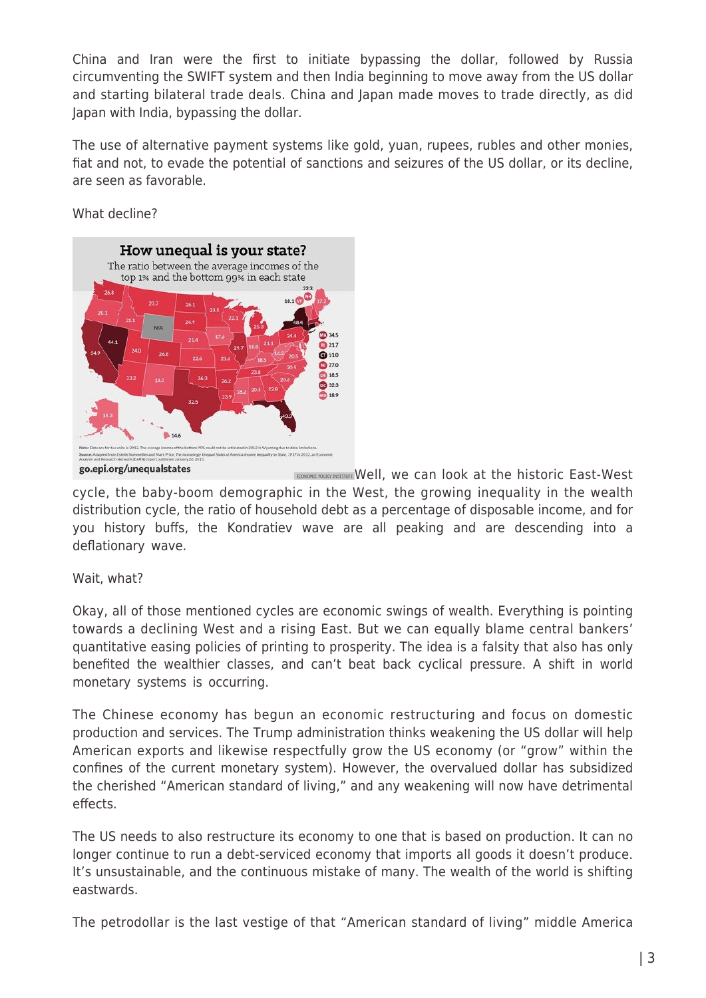China and Iran were the first to initiate bypassing the dollar, followed by Russia circumventing the SWIFT system and then India beginning to move away from the US dollar and starting bilateral trade deals. China and Japan made moves to trade directly, as did Japan with India, bypassing the dollar.

The use of alternative payment systems like gold, yuan, rupees, rubles and other monies, fiat and not, to evade the potential of sanctions and seizures of the US dollar, or its decline, are seen as favorable.

What decline?



ECONGINIC POLICY INSTITUTE Well, we can look at the historic East-West cycle, the baby-boom demographic in the West, the growing inequality in the wealth distribution cycle, the ratio of household debt as a percentage of disposable income, and for you history buffs, the Kondratiev wave are all peaking and are descending into a deflationary wave.

Wait, what?

Okay, all of those mentioned cycles are economic swings of wealth. Everything is pointing towards a declining West and a rising East. But we can equally blame central bankers' quantitative easing policies of printing to prosperity. The idea is a falsity that also has only benefited the wealthier classes, and can't beat back cyclical pressure. A shift in world monetary systems is occurring.

The Chinese economy has begun an economic restructuring and focus on domestic production and services. The Trump administration thinks weakening the US dollar will help American exports and likewise respectfully grow the US economy (or "grow" within the confines of the current monetary system). However, the overvalued dollar has subsidized the cherished "American standard of living," and any weakening will now have detrimental effects.

The US needs to also restructure its economy to one that is based on production. It can no longer continue to run a debt-serviced economy that imports all goods it doesn't produce. It's unsustainable, and the continuous mistake of many. The wealth of the world is shifting eastwards.

The petrodollar is the last vestige of that "American standard of living" middle America